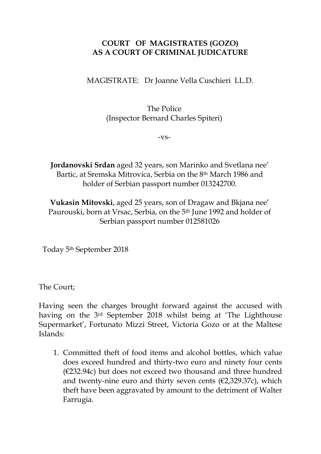## **COURT OF MAGISTRATES (GOZO) AS A COURT OF CRIMINAL JUDICATURE**

MAGISTRATE: Dr Joanne Vella Cuschieri LL.D.

## The Police (Inspector Bernard Charles Spiteri)

-vs-

**Jordanovski Srdan** aged 32 years, son Marinko and Svetlana nee' Bartic, at Sremska Mitrovica, Serbia on the 8th March 1986 and holder of Serbian passport number 013242700.

**Vukasin Mitovski**, aged 25 years, son of Dragaw and Bkjana nee' Paurouski, born at Vrsac, Serbia, on the 5<sup>th</sup> June 1992 and holder of Serbian passport number 012581026

Today 5th September 2018

The Court;

Having seen the charges brought forward against the accused with having on the 3rd September 2018 whilst being at 'The Lighthouse Supermarket', Fortunato Mizzi Street, Victoria Gozo or at the Maltese Islands:

1. Committed theft of food items and alcohol bottles, which value does exceed hundred and thirty-two euro and ninety four cents  $(E232.94c)$  but does not exceed two thousand and three hundred and twenty-nine euro and thirty seven cents  $(\epsilon 2, 329.37c)$ , which theft have been aggravated by amount to the detriment of Walter Farrugia.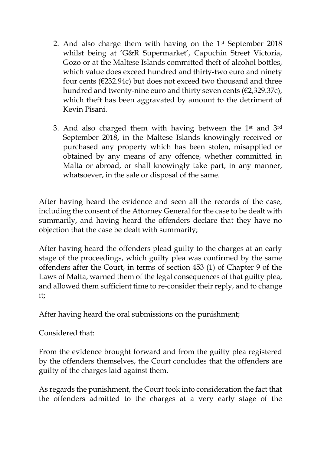- 2. And also charge them with having on the  $1<sup>st</sup>$  September 2018 whilst being at 'G&R Supermarket', Capuchin Street Victoria, Gozo or at the Maltese Islands committed theft of alcohol bottles, which value does exceed hundred and thirty-two euro and ninety four cents ( $\epsilon$ 232.94c) but does not exceed two thousand and three hundred and twenty-nine euro and thirty seven cents (€2,329.37c), which theft has been aggravated by amount to the detriment of Kevin Pisani.
- 3. And also charged them with having between the 1st and 3rd September 2018, in the Maltese Islands knowingly received or purchased any property which has been stolen, misapplied or obtained by any means of any offence, whether committed in Malta or abroad, or shall knowingly take part, in any manner, whatsoever, in the sale or disposal of the same.

After having heard the evidence and seen all the records of the case, including the consent of the Attorney General for the case to be dealt with summarily, and having heard the offenders declare that they have no objection that the case be dealt with summarily;

After having heard the offenders plead guilty to the charges at an early stage of the proceedings, which guilty plea was confirmed by the same offenders after the Court, in terms of section 453 (1) of Chapter 9 of the Laws of Malta, warned them of the legal consequences of that guilty plea, and allowed them sufficient time to re-consider their reply, and to change it;

After having heard the oral submissions on the punishment;

Considered that:

From the evidence brought forward and from the guilty plea registered by the offenders themselves, the Court concludes that the offenders are guilty of the charges laid against them.

As regards the punishment, the Court took into consideration the fact that the offenders admitted to the charges at a very early stage of the